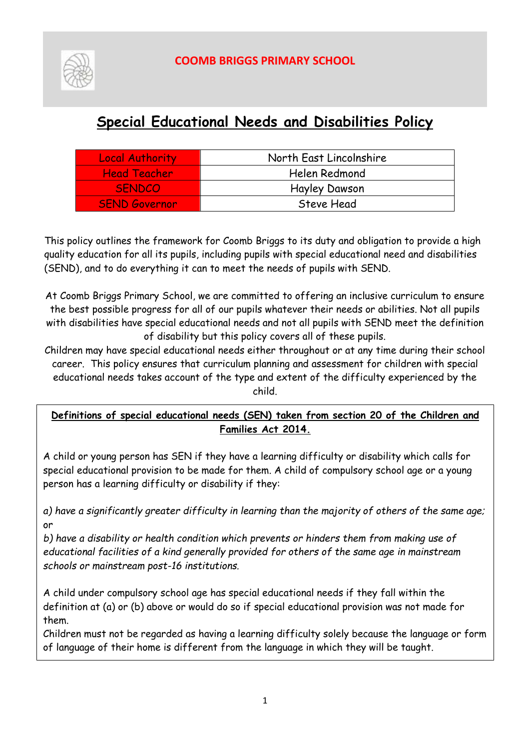

# **COOMB BRIGGS PRIMARY SCHOOL**

# **Special Educational Needs and Disabilities Policy**

| <b>Local Authority</b> | North East Lincolnshire |
|------------------------|-------------------------|
| <b>Head Teacher</b>    | Helen Redmond           |
| <b>SENDCO</b>          | <b>Hayley Dawson</b>    |
| <b>SEND Governor</b>   | Steve Head              |

This policy outlines the framework for Coomb Briggs to its duty and obligation to provide a high quality education for all its pupils, including pupils with special educational need and disabilities (SEND), and to do everything it can to meet the needs of pupils with SEND.

At Coomb Briggs Primary School, we are committed to offering an inclusive curriculum to ensure the best possible progress for all of our pupils whatever their needs or abilities. Not all pupils with disabilities have special educational needs and not all pupils with SEND meet the definition of disability but this policy covers all of these pupils.

Children may have special educational needs either throughout or at any time during their school career. This policy ensures that curriculum planning and assessment for children with special educational needs takes account of the type and extent of the difficulty experienced by the child.

# **Definitions of special educational needs (SEN) taken from section 20 of the Children and Families Act 2014.**

A child or young person has SEN if they have a learning difficulty or disability which calls for special educational provision to be made for them. A child of compulsory school age or a young person has a learning difficulty or disability if they:

*a) have a significantly greater difficulty in learning than the majority of others of the same age;* or

*b) have a disability or health condition which prevents or hinders them from making use of educational facilities of a kind generally provided for others of the same age in mainstream schools or mainstream post-16 institutions.* 

A child under compulsory school age has special educational needs if they fall within the definition at (a) or (b) above or would do so if special educational provision was not made for them.

Children must not be regarded as having a learning difficulty solely because the language or form of language of their home is different from the language in which they will be taught.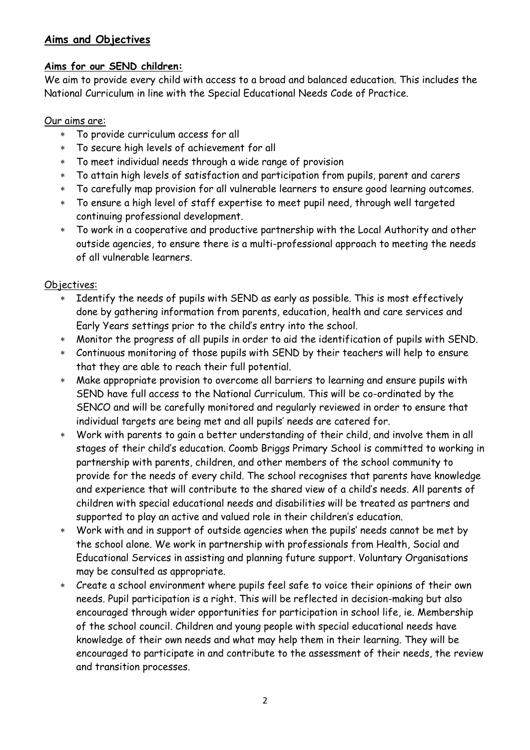#### **Aims and Objectives**

#### **Aims for our SEND children:**

We aim to provide every child with access to a broad and balanced education. This includes the National Curriculum in line with the Special Educational Needs Code of Practice.

#### Our aims are:

- To provide curriculum access for all
- To secure high levels of achievement for all
- To meet individual needs through a wide range of provision
- To attain high levels of satisfaction and participation from pupils, parent and carers
- To carefully map provision for all vulnerable learners to ensure good learning outcomes.
- To ensure a high level of staff expertise to meet pupil need, through well targeted continuing professional development.
- To work in a cooperative and productive partnership with the Local Authority and other outside agencies, to ensure there is a multi-professional approach to meeting the needs of all vulnerable learners.

#### Objectives:

- Identify the needs of pupils with SEND as early as possible. This is most effectively done by gathering information from parents, education, health and care services and Early Years settings prior to the child's entry into the school.
- Monitor the progress of all pupils in order to aid the identification of pupils with SEND.
- Continuous monitoring of those pupils with SEND by their teachers will help to ensure that they are able to reach their full potential.
- Make appropriate provision to overcome all barriers to learning and ensure pupils with SEND have full access to the National Curriculum. This will be co-ordinated by the SENCO and will be carefully monitored and regularly reviewed in order to ensure that individual targets are being met and all pupils' needs are catered for.
- Work with parents to gain a better understanding of their child, and involve them in all stages of their child's education. Coomb Briggs Primary School is committed to working in partnership with parents, children, and other members of the school community to provide for the needs of every child. The school recognises that parents have knowledge and experience that will contribute to the shared view of a child's needs. All parents of children with special educational needs and disabilities will be treated as partners and supported to play an active and valued role in their children's education.
- Work with and in support of outside agencies when the pupils' needs cannot be met by the school alone. We work in partnership with professionals from Health, Social and Educational Services in assisting and planning future support. Voluntary Organisations may be consulted as appropriate.
- Create a school environment where pupils feel safe to voice their opinions of their own needs. Pupil participation is a right. This will be reflected in decision-making but also encouraged through wider opportunities for participation in school life, ie. Membership of the school council. Children and young people with special educational needs have knowledge of their own needs and what may help them in their learning. They will be encouraged to participate in and contribute to the assessment of their needs, the review and transition processes.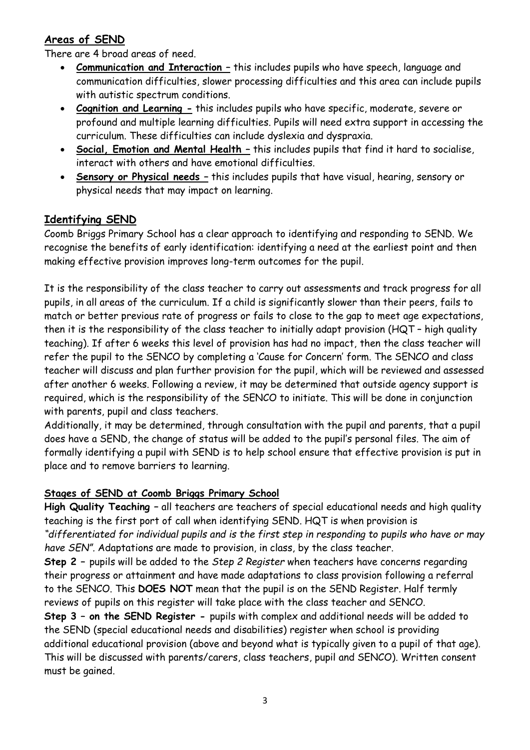# **Areas of SEND**

There are 4 broad areas of need.

- **Communication and Interaction –** this includes pupils who have speech, language and communication difficulties, slower processing difficulties and this area can include pupils with autistic spectrum conditions.
- **Cognition and Learning -** this includes pupils who have specific, moderate, severe or profound and multiple learning difficulties. Pupils will need extra support in accessing the curriculum. These difficulties can include dyslexia and dyspraxia.
- **Social, Emotion and Mental Health –** this includes pupils that find it hard to socialise, interact with others and have emotional difficulties.
- **Sensory or Physical needs –** this includes pupils that have visual, hearing, sensory or physical needs that may impact on learning.

#### **Identifying SEND**

Coomb Briggs Primary School has a clear approach to identifying and responding to SEND. We recognise the benefits of early identification: identifying a need at the earliest point and then making effective provision improves long-term outcomes for the pupil.

It is the responsibility of the class teacher to carry out assessments and track progress for all pupils, in all areas of the curriculum. If a child is significantly slower than their peers, fails to match or better previous rate of progress or fails to close to the gap to meet age expectations, then it is the responsibility of the class teacher to initially adapt provision (HQT – high quality teaching). If after 6 weeks this level of provision has had no impact, then the class teacher will refer the pupil to the SENCO by completing a 'Cause for Concern' form. The SENCO and class teacher will discuss and plan further provision for the pupil, which will be reviewed and assessed after another 6 weeks. Following a review, it may be determined that outside agency support is required, which is the responsibility of the SENCO to initiate. This will be done in conjunction with parents, pupil and class teachers.

Additionally, it may be determined, through consultation with the pupil and parents, that a pupil does have a SEND, the change of status will be added to the pupil's personal files. The aim of formally identifying a pupil with SEND is to help school ensure that effective provision is put in place and to remove barriers to learning.

#### **Stages of SEND at Coomb Briggs Primary School**

**High Quality Teaching –** all teachers are teachers of special educational needs and high quality teaching is the first port of call when identifying SEND. HQT is when provision is *"differentiated for individual pupils and is the first step in responding to pupils who have or may have SEN".* Adaptations are made to provision, in class, by the class teacher.

**Step 2 –** pupils will be added to the *Step 2 Register* when teachers have concerns regarding their progress or attainment and have made adaptations to class provision following a referral to the SENCO. This **DOES NOT** mean that the pupil is on the SEND Register. Half termly reviews of pupils on this register will take place with the class teacher and SENCO.

**Step 3 – on the SEND Register -** pupils with complex and additional needs will be added to the SEND (special educational needs and disabilities) register when school is providing additional educational provision (above and beyond what is typically given to a pupil of that age). This will be discussed with parents/carers, class teachers, pupil and SENCO). Written consent must be gained.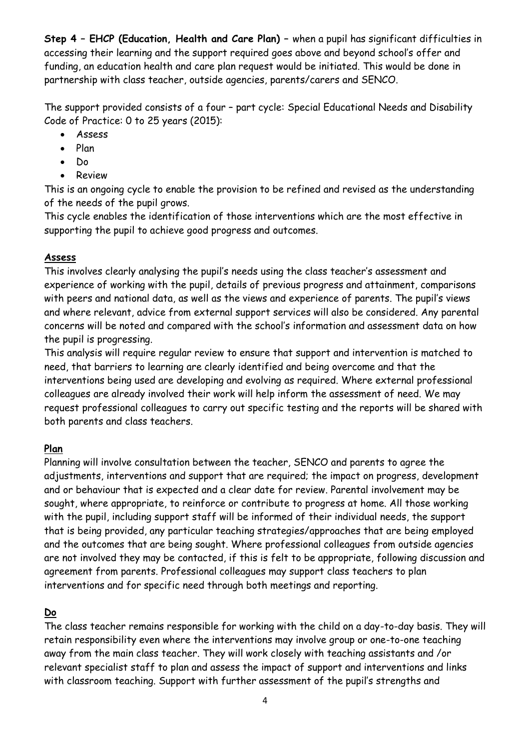**Step 4 – EHCP (Education, Health and Care Plan) –** when a pupil has significant difficulties in accessing their learning and the support required goes above and beyond school's offer and funding, an education health and care plan request would be initiated. This would be done in partnership with class teacher, outside agencies, parents/carers and SENCO.

The support provided consists of a four – part cycle: Special Educational Needs and Disability Code of Practice: 0 to 25 years (2015):

- Assess
- Plan
- Do
- Review

This is an ongoing cycle to enable the provision to be refined and revised as the understanding of the needs of the pupil grows.

This cycle enables the identification of those interventions which are the most effective in supporting the pupil to achieve good progress and outcomes.

#### **Assess**

This involves clearly analysing the pupil's needs using the class teacher's assessment and experience of working with the pupil, details of previous progress and attainment, comparisons with peers and national data, as well as the views and experience of parents. The pupil's views and where relevant, advice from external support services will also be considered. Any parental concerns will be noted and compared with the school's information and assessment data on how the pupil is progressing.

This analysis will require regular review to ensure that support and intervention is matched to need, that barriers to learning are clearly identified and being overcome and that the interventions being used are developing and evolving as required. Where external professional colleagues are already involved their work will help inform the assessment of need. We may request professional colleagues to carry out specific testing and the reports will be shared with both parents and class teachers.

# **Plan**

Planning will involve consultation between the teacher, SENCO and parents to agree the adjustments, interventions and support that are required; the impact on progress, development and or behaviour that is expected and a clear date for review. Parental involvement may be sought, where appropriate, to reinforce or contribute to progress at home. All those working with the pupil, including support staff will be informed of their individual needs, the support that is being provided, any particular teaching strategies/approaches that are being employed and the outcomes that are being sought. Where professional colleagues from outside agencies are not involved they may be contacted, if this is felt to be appropriate, following discussion and agreement from parents. Professional colleagues may support class teachers to plan interventions and for specific need through both meetings and reporting.

# **Do**

The class teacher remains responsible for working with the child on a day-to-day basis. They will retain responsibility even where the interventions may involve group or one-to-one teaching away from the main class teacher. They will work closely with teaching assistants and /or relevant specialist staff to plan and assess the impact of support and interventions and links with classroom teaching. Support with further assessment of the pupil's strengths and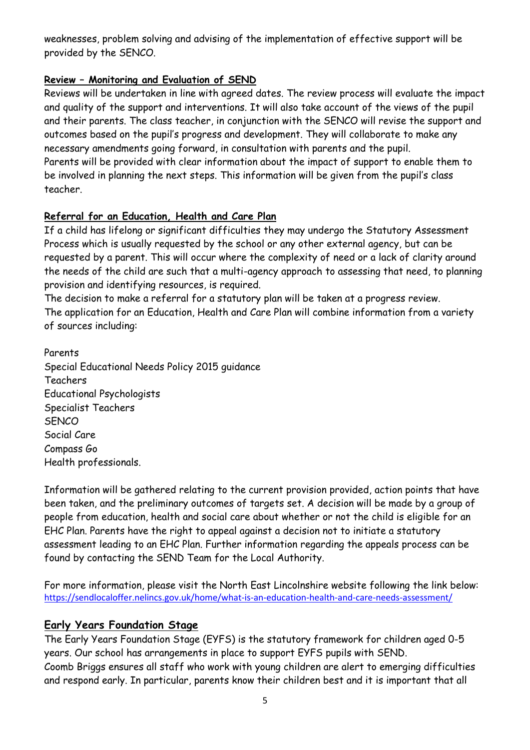weaknesses, problem solving and advising of the implementation of effective support will be provided by the SENCO.

# **Review – Monitoring and Evaluation of SEND**

Reviews will be undertaken in line with agreed dates. The review process will evaluate the impact and quality of the support and interventions. It will also take account of the views of the pupil and their parents. The class teacher, in conjunction with the SENCO will revise the support and outcomes based on the pupil's progress and development. They will collaborate to make any necessary amendments going forward, in consultation with parents and the pupil. Parents will be provided with clear information about the impact of support to enable them to be involved in planning the next steps. This information will be given from the pupil's class teacher.

# **Referral for an Education, Health and Care Plan**

If a child has lifelong or significant difficulties they may undergo the Statutory Assessment Process which is usually requested by the school or any other external agency, but can be requested by a parent. This will occur where the complexity of need or a lack of clarity around the needs of the child are such that a multi-agency approach to assessing that need, to planning provision and identifying resources, is required.

The decision to make a referral for a statutory plan will be taken at a progress review. The application for an Education, Health and Care Plan will combine information from a variety of sources including:

Parents Special Educational Needs Policy 2015 guidance Teachers Educational Psychologists Specialist Teachers **SENCO** Social Care Compass Go Health professionals.

Information will be gathered relating to the current provision provided, action points that have been taken, and the preliminary outcomes of targets set. A decision will be made by a group of people from education, health and social care about whether or not the child is eligible for an EHC Plan. Parents have the right to appeal against a decision not to initiate a statutory assessment leading to an EHC Plan. Further information regarding the appeals process can be found by contacting the SEND Team for the Local Authority.

For more information, please visit the North East Lincolnshire website following the link below: <https://sendlocaloffer.nelincs.gov.uk/home/what-is-an-education-health-and-care-needs-assessment/>

# **Early Years Foundation Stage**

The Early Years Foundation Stage (EYFS) is the statutory framework for children aged 0-5 years. Our school has arrangements in place to support EYFS pupils with SEND. Coomb Briggs ensures all staff who work with young children are alert to emerging difficulties and respond early. In particular, parents know their children best and it is important that all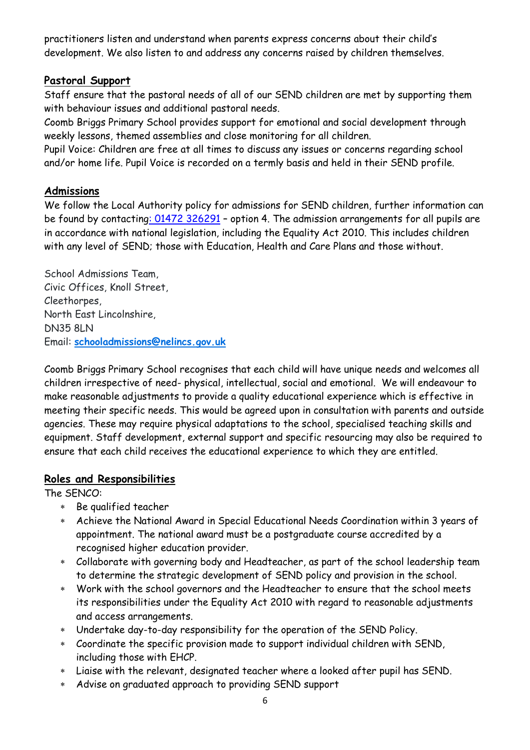practitioners listen and understand when parents express concerns about their child's development. We also listen to and address any concerns raised by children themselves.

#### **Pastoral Support**

Staff ensure that the pastoral needs of all of our SEND children are met by supporting them with behaviour issues and additional pastoral needs.

Coomb Briggs Primary School provides support for emotional and social development through weekly lessons, themed assemblies and close monitoring for all children.

Pupil Voice: Children are free at all times to discuss any issues or concerns regarding school and/or home life. Pupil Voice is recorded on a termly basis and held in their SEND profile.

#### **Admissions**

We follow the Local Authority policy for admissions for SEND children, further information can be found by contactin[g: 01472](tel:01472) 326291 – option 4. The admission arrangements for all pupils are in accordance with national legislation, including the Equality Act 2010. This includes children with any level of SEND; those with Education, Health and Care Plans and those without.

School Admissions Team, Civic Offices, Knoll Street, Cleethorpes, North East Lincolnshire, DN35 8LN Email: **[schooladmissions@nelincs.gov.uk](mailto:schooladmissions@nelincs.gov.uk)**

Coomb Briggs Primary School recognises that each child will have unique needs and welcomes all children irrespective of need- physical, intellectual, social and emotional. We will endeavour to make reasonable adjustments to provide a quality educational experience which is effective in meeting their specific needs. This would be agreed upon in consultation with parents and outside agencies. These may require physical adaptations to the school, specialised teaching skills and equipment. Staff development, external support and specific resourcing may also be required to ensure that each child receives the educational experience to which they are entitled.

#### **Roles and Responsibilities**

The SENCO:

- Be qualified teacher
- Achieve the National Award in Special Educational Needs Coordination within 3 years of appointment. The national award must be a postgraduate course accredited by a recognised higher education provider.
- Collaborate with governing body and Headteacher, as part of the school leadership team to determine the strategic development of SEND policy and provision in the school.
- Work with the school governors and the Headteacher to ensure that the school meets its responsibilities under the Equality Act 2010 with regard to reasonable adjustments and access arrangements.
- Undertake day-to-day responsibility for the operation of the SEND Policy.
- Coordinate the specific provision made to support individual children with SEND, including those with EHCP.
- Liaise with the relevant, designated teacher where a looked after pupil has SEND.
- Advise on graduated approach to providing SEND support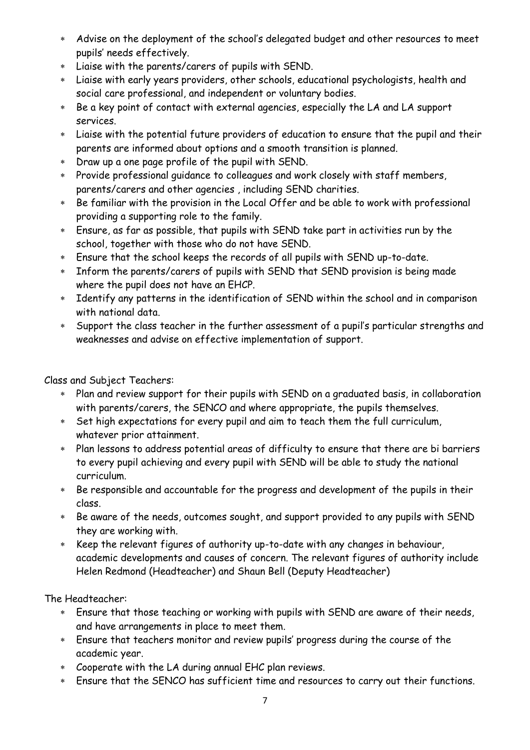- Advise on the deployment of the school's delegated budget and other resources to meet pupils' needs effectively.
- Liaise with the parents/carers of pupils with SEND.
- Liaise with early years providers, other schools, educational psychologists, health and social care professional, and independent or voluntary bodies.
- Be a key point of contact with external agencies, especially the LA and LA support services.
- Liaise with the potential future providers of education to ensure that the pupil and their parents are informed about options and a smooth transition is planned.
- Draw up a one page profile of the pupil with SEND.
- Provide professional guidance to colleagues and work closely with staff members, parents/carers and other agencies , including SEND charities.
- \* Be familiar with the provision in the Local Offer and be able to work with professional providing a supporting role to the family.
- Ensure, as far as possible, that pupils with SEND take part in activities run by the school, together with those who do not have SEND.
- Ensure that the school keeps the records of all pupils with SEND up-to-date.
- Inform the parents/carers of pupils with SEND that SEND provision is being made where the pupil does not have an EHCP.
- Identify any patterns in the identification of SEND within the school and in comparison with national data.
- Support the class teacher in the further assessment of a pupil's particular strengths and weaknesses and advise on effective implementation of support.

Class and Subject Teachers:

- Plan and review support for their pupils with SEND on a graduated basis, in collaboration with parents/carers, the SENCO and where appropriate, the pupils themselves.
- Set high expectations for every pupil and aim to teach them the full curriculum, whatever prior attainment.
- Plan lessons to address potential areas of difficulty to ensure that there are bi barriers to every pupil achieving and every pupil with SEND will be able to study the national curriculum.
- Be responsible and accountable for the progress and development of the pupils in their class.
- Be aware of the needs, outcomes sought, and support provided to any pupils with SEND they are working with.
- \* Keep the relevant figures of authority up-to-date with any changes in behaviour, academic developments and causes of concern. The relevant figures of authority include Helen Redmond (Headteacher) and Shaun Bell (Deputy Headteacher)

The Headteacher:

- Ensure that those teaching or working with pupils with SEND are aware of their needs, and have arrangements in place to meet them.
- Ensure that teachers monitor and review pupils' progress during the course of the academic year.
- Cooperate with the LA during annual EHC plan reviews.
- Ensure that the SENCO has sufficient time and resources to carry out their functions.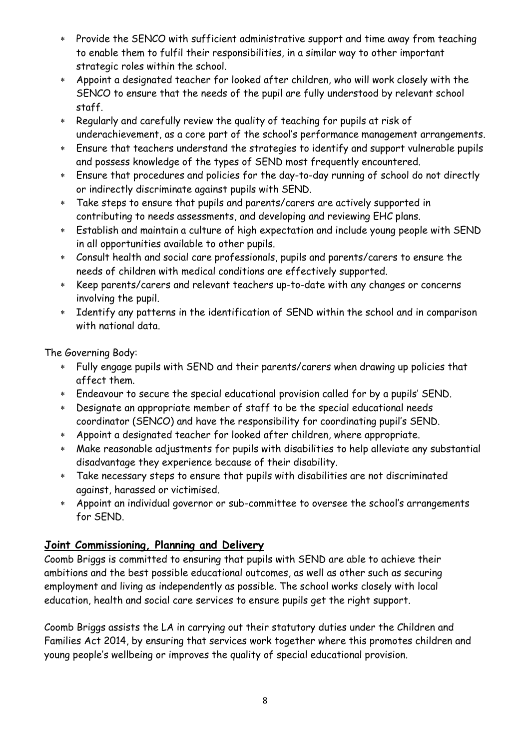- Provide the SENCO with sufficient administrative support and time away from teaching to enable them to fulfil their responsibilities, in a similar way to other important strategic roles within the school.
- Appoint a designated teacher for looked after children, who will work closely with the SENCO to ensure that the needs of the pupil are fully understood by relevant school staff.
- Regularly and carefully review the quality of teaching for pupils at risk of underachievement, as a core part of the school's performance management arrangements.
- Ensure that teachers understand the strategies to identify and support vulnerable pupils and possess knowledge of the types of SEND most frequently encountered.
- Ensure that procedures and policies for the day-to-day running of school do not directly or indirectly discriminate against pupils with SEND.
- Take steps to ensure that pupils and parents/carers are actively supported in contributing to needs assessments, and developing and reviewing EHC plans.
- Establish and maintain a culture of high expectation and include young people with SEND in all opportunities available to other pupils.
- Consult health and social care professionals, pupils and parents/carers to ensure the needs of children with medical conditions are effectively supported.
- Keep parents/carers and relevant teachers up-to-date with any changes or concerns involving the pupil.
- Identify any patterns in the identification of SEND within the school and in comparison with national data.

The Governing Body:

- Fully engage pupils with SEND and their parents/carers when drawing up policies that affect them.
- Endeavour to secure the special educational provision called for by a pupils' SEND.
- Designate an appropriate member of staff to be the special educational needs coordinator (SENCO) and have the responsibility for coordinating pupil's SEND.
- Appoint a designated teacher for looked after children, where appropriate.
- Make reasonable adjustments for pupils with disabilities to help alleviate any substantial disadvantage they experience because of their disability.
- Take necessary steps to ensure that pupils with disabilities are not discriminated against, harassed or victimised.
- Appoint an individual governor or sub-committee to oversee the school's arrangements for SEND.

# **Joint Commissioning, Planning and Delivery**

Coomb Briggs is committed to ensuring that pupils with SEND are able to achieve their ambitions and the best possible educational outcomes, as well as other such as securing employment and living as independently as possible. The school works closely with local education, health and social care services to ensure pupils get the right support.

Coomb Briggs assists the LA in carrying out their statutory duties under the Children and Families Act 2014, by ensuring that services work together where this promotes children and young people's wellbeing or improves the quality of special educational provision.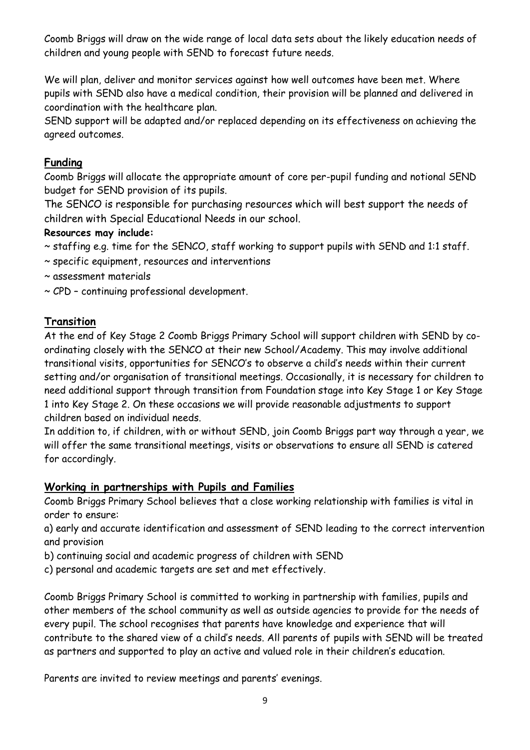Coomb Briggs will draw on the wide range of local data sets about the likely education needs of children and young people with SEND to forecast future needs.

We will plan, deliver and monitor services against how well outcomes have been met. Where pupils with SEND also have a medical condition, their provision will be planned and delivered in coordination with the healthcare plan.

SEND support will be adapted and/or replaced depending on its effectiveness on achieving the agreed outcomes.

# **Funding**

Coomb Briggs will allocate the appropriate amount of core per-pupil funding and notional SEND budget for SEND provision of its pupils.

The SENCO is responsible for purchasing resources which will best support the needs of children with Special Educational Needs in our school.

#### **Resources may include:**

- ~ staffing e.g. time for the SENCO, staff working to support pupils with SEND and 1:1 staff.
- ~ specific equipment, resources and interventions
- ~ assessment materials
- ~ CPD continuing professional development.

#### **Transition**

At the end of Key Stage 2 Coomb Briggs Primary School will support children with SEND by coordinating closely with the SENCO at their new School/Academy. This may involve additional transitional visits, opportunities for SENCO's to observe a child's needs within their current setting and/or organisation of transitional meetings. Occasionally, it is necessary for children to need additional support through transition from Foundation stage into Key Stage 1 or Key Stage 1 into Key Stage 2. On these occasions we will provide reasonable adjustments to support children based on individual needs.

In addition to, if children, with or without SEND, join Coomb Briggs part way through a year, we will offer the same transitional meetings, visits or observations to ensure all SEND is catered for accordingly.

# **Working in partnerships with Pupils and Families**

Coomb Briggs Primary School believes that a close working relationship with families is vital in order to ensure:

a) early and accurate identification and assessment of SEND leading to the correct intervention and provision

- b) continuing social and academic progress of children with SEND
- c) personal and academic targets are set and met effectively.

Coomb Briggs Primary School is committed to working in partnership with families, pupils and other members of the school community as well as outside agencies to provide for the needs of every pupil. The school recognises that parents have knowledge and experience that will contribute to the shared view of a child's needs. All parents of pupils with SEND will be treated as partners and supported to play an active and valued role in their children's education.

Parents are invited to review meetings and parents' evenings.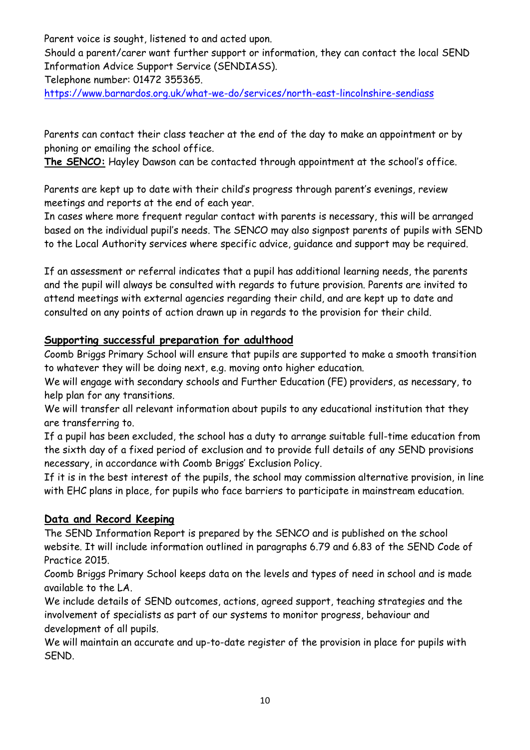Parent voice is sought, listened to and acted upon.

Should a parent/carer want further support or information, they can contact the local SEND Information Advice Support Service (SENDIASS).

Telephone number: 01472 355365.

<https://www.barnardos.org.uk/what-we-do/services/north-east-lincolnshire-sendiass>

Parents can contact their class teacher at the end of the day to make an appointment or by phoning or emailing the school office.

**The SENCO:** Hayley Dawson can be contacted through appointment at the school's office.

Parents are kept up to date with their child's progress through parent's evenings, review meetings and reports at the end of each year.

In cases where more frequent regular contact with parents is necessary, this will be arranged based on the individual pupil's needs. The SENCO may also signpost parents of pupils with SEND to the Local Authority services where specific advice, guidance and support may be required.

If an assessment or referral indicates that a pupil has additional learning needs, the parents and the pupil will always be consulted with regards to future provision. Parents are invited to attend meetings with external agencies regarding their child, and are kept up to date and consulted on any points of action drawn up in regards to the provision for their child.

# **Supporting successful preparation for adulthood**

Coomb Briggs Primary School will ensure that pupils are supported to make a smooth transition to whatever they will be doing next, e.g. moving onto higher education.

We will engage with secondary schools and Further Education (FE) providers, as necessary, to help plan for any transitions.

We will transfer all relevant information about pupils to any educational institution that they are transferring to.

If a pupil has been excluded, the school has a duty to arrange suitable full-time education from the sixth day of a fixed period of exclusion and to provide full details of any SEND provisions necessary, in accordance with Coomb Briggs' Exclusion Policy.

If it is in the best interest of the pupils, the school may commission alternative provision, in line with EHC plans in place, for pupils who face barriers to participate in mainstream education.

# **Data and Record Keeping**

The SEND Information Report is prepared by the SENCO and is published on the school website. It will include information outlined in paragraphs 6.79 and 6.83 of the SEND Code of Practice 2015.

Coomb Briggs Primary School keeps data on the levels and types of need in school and is made available to the LA.

We include details of SEND outcomes, actions, agreed support, teaching strategies and the involvement of specialists as part of our systems to monitor progress, behaviour and development of all pupils.

We will maintain an accurate and up-to-date register of the provision in place for pupils with SEND.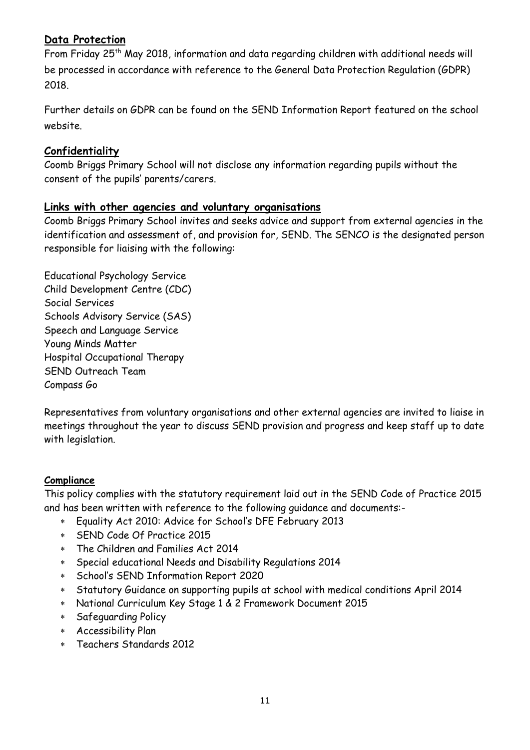# **Data Protection**

From Friday 25<sup>th</sup> May 2018, information and data regarding children with additional needs will be processed in accordance with reference to the General Data Protection Regulation (GDPR) 2018.

Further details on GDPR can be found on the SEND Information Report featured on the school website.

#### **Confidentiality**

Coomb Briggs Primary School will not disclose any information regarding pupils without the consent of the pupils' parents/carers.

#### **Links with other agencies and voluntary organisations**

Coomb Briggs Primary School invites and seeks advice and support from external agencies in the identification and assessment of, and provision for, SEND. The SENCO is the designated person responsible for liaising with the following:

Educational Psychology Service Child Development Centre (CDC) Social Services Schools Advisory Service (SAS) Speech and Language Service Young Minds Matter Hospital Occupational Therapy SEND Outreach Team Compass Go

Representatives from voluntary organisations and other external agencies are invited to liaise in meetings throughout the year to discuss SEND provision and progress and keep staff up to date with legislation.

#### **Compliance**

This policy complies with the statutory requirement laid out in the SEND Code of Practice 2015 and has been written with reference to the following guidance and documents:-

- Equality Act 2010: Advice for School's DFE February 2013
- SEND Code Of Practice 2015
- The Children and Families Act 2014
- Special educational Needs and Disability Regulations 2014
- School's SEND Information Report 2020
- Statutory Guidance on supporting pupils at school with medical conditions April 2014
- National Curriculum Key Stage 1 & 2 Framework Document 2015
- Safeguarding Policy
- Accessibility Plan
- Teachers Standards 2012